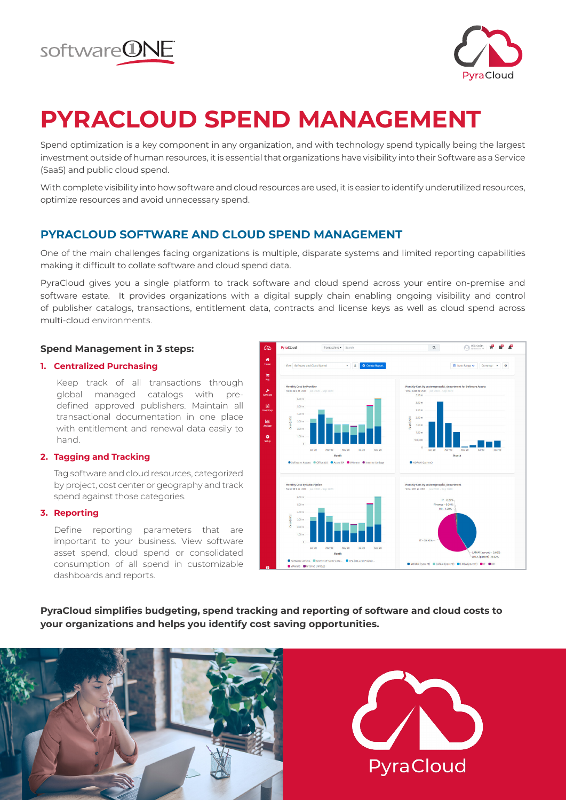



## **PYRACLOUD SPEND MANAGEMENT**

Spend optimization is a key component in any organization, and with technology spend typically being the largest investment outside of human resources, it is essential that organizations have visibility into their Software as a Service (SaaS) and public cloud spend.

With complete visibility into how software and cloud resources are used, it is easier to identify underutilized resources, optimize resources and avoid unnecessary spend.

### **PYRACLOUD SOFTWARE AND CLOUD SPEND MANAGEMENT**

One of the main challenges facing organizations is multiple, disparate systems and limited reporting capabilities making it difficult to collate software and cloud spend data.

PyraCloud gives you a single platform to track software and cloud spend across your entire on-premise and software estate. It provides organizations with a digital supply chain enabling ongoing visibility and control of publisher catalogs, transactions, entitlement data, contracts and license keys as well as cloud spend across multi-cloud environments.

### **Spend Management in 3 steps:**

### **1. Centralized Purchasing**

Keep track of all transactions through global managed catalogs with predefined approved publishers. Maintain all transactional documentation in one place with entitlement and renewal data easily to hand.

### **2. Tagging and Tracking**

Tag software and cloud resources, categorized by project, cost center or geography and track spend against those categories.

### **3. Reporting**

Define reporting parameters that are important to your business. View software asset spend, cloud spend or consolidated consumption of all spend in customizable dashboards and reports.



**PyraCloud simplifies budgeting, spend tracking and reporting of software and cloud costs to your organizations and helps you identify cost saving opportunities.**